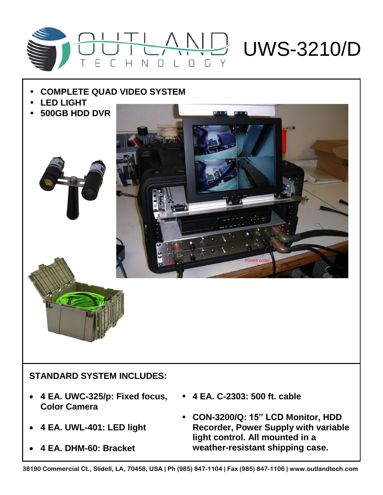

## • **COMPLETE QUAD VIDEO SYSTEM**

- **LED LIGHT**
- **500GB HDD DVR**





## **STANDARD SYSTEM INCLUDES:**

- **4 EA. UWC-325/p: Fixed focus, Color Camera**
- **4 EA. UWL-401: LED light**
- **4 EA. DHM-60: Bracket**
- **4 EA. C-2303: 500 ft. cable**
- **CON-3200/Q: 15" LCD Monitor, HDD Recorder, Power Supply with variable light control. All mounted in a weather-resistant shipping case.**